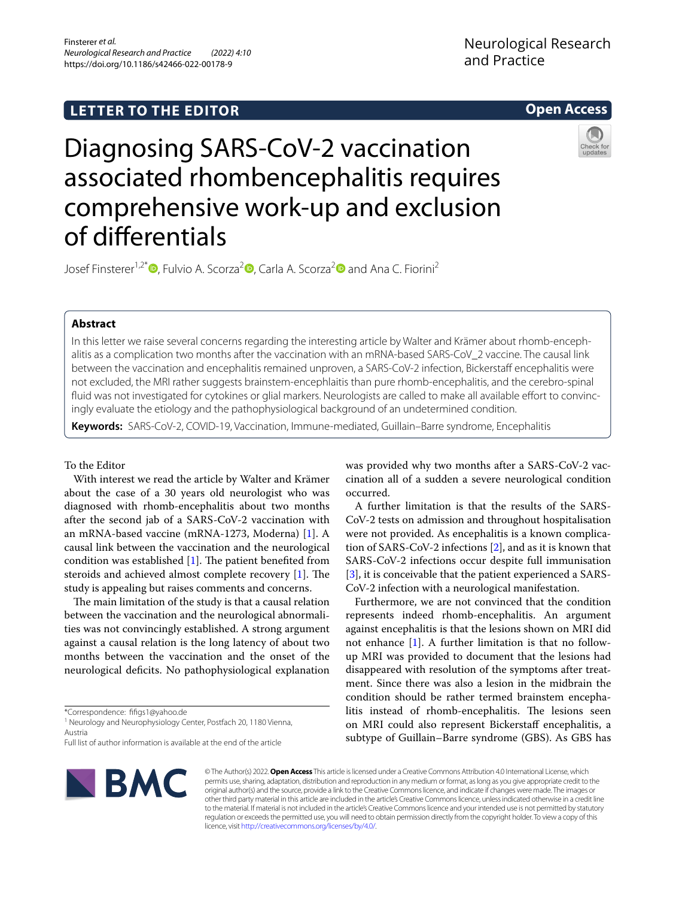# **LETTER TO THE EDITOR**

**Open Access**

# Diagnosing SARS-CoV-2 vaccination associated rhombencephalitis requires comprehensive work-up and exclusion of diferentials

Josef Finsterer<sup>1[,](http://orcid.org/0000-0003-2839-7305)[2](http://orcid.org/0000-0001-7810-4748)\*</sup> , Fulvio A. Scorza<sup>2</sup> , Carla A. Scorza<sup>2</sup> and Ana C. Fiorini<sup>2</sup>

## **Abstract**

In this letter we raise several concerns regarding the interesting article by Walter and Krämer about rhomb-encephalitis as a complication two months after the vaccination with an mRNA-based SARS-CoV\_2 vaccine. The causal link between the vaccination and encephalitis remained unproven, a SARS-CoV-2 infection, Bickerstaff encephalitis were not excluded, the MRI rather suggests brainstem-encephlaitis than pure rhomb-encephalitis, and the cerebro-spinal fluid was not investigated for cytokines or glial markers. Neurologists are called to make all available effort to convincingly evaluate the etiology and the pathophysiological background of an undetermined condition.

**Keywords:** SARS-CoV-2, COVID-19, Vaccination, Immune-mediated, Guillain–Barre syndrome, Encephalitis

### To the Editor

With interest we read the article by Walter and Krämer about the case of a 30 years old neurologist who was diagnosed with rhomb-encephalitis about two months after the second jab of a SARS-CoV-2 vaccination with an mRNA-based vaccine (mRNA-1273, Moderna) [\[1](#page-1-0)]. A causal link between the vaccination and the neurological condition was established  $[1]$  $[1]$ . The patient benefited from steroids and achieved almost complete recovery  $[1]$  $[1]$ . The study is appealing but raises comments and concerns.

The main limitation of the study is that a causal relation between the vaccination and the neurological abnormalities was not convincingly established. A strong argument against a causal relation is the long latency of about two months between the vaccination and the onset of the neurological defcits. No pathophysiological explanation

\*Correspondence: ffgs1@yahoo.de

<sup>1</sup> Neurology and Neurophysiology Center, Postfach 20, 1180 Vienna, Austria

Full list of author information is available at the end of the article



© The Author(s) 2022. **Open Access** This article is licensed under a Creative Commons Attribution 4.0 International License, which permits use, sharing, adaptation, distribution and reproduction in any medium or format, as long as you give appropriate credit to the original author(s) and the source, provide a link to the Creative Commons licence, and indicate if changes were made. The images or other third party material in this article are included in the article's Creative Commons licence, unless indicated otherwise in a credit line to the material. If material is not included in the article's Creative Commons licence and your intended use is not permitted by statutory regulation or exceeds the permitted use, you will need to obtain permission directly from the copyright holder. To view a copy of this licence, visit [http://creativecommons.org/licenses/by/4.0/.](http://creativecommons.org/licenses/by/4.0/)

was provided why two months after a SARS-CoV-2 vaccination all of a sudden a severe neurological condition occurred.

A further limitation is that the results of the SARS-CoV-2 tests on admission and throughout hospitalisation were not provided. As encephalitis is a known complication of SARS-CoV-2 infections [[2\]](#page-1-1), and as it is known that SARS-CoV-2 infections occur despite full immunisation [[3\]](#page-1-2), it is conceivable that the patient experienced a SARS-CoV-2 infection with a neurological manifestation.

Furthermore, we are not convinced that the condition represents indeed rhomb-encephalitis. An argument against encephalitis is that the lesions shown on MRI did not enhance [\[1](#page-1-0)]. A further limitation is that no followup MRI was provided to document that the lesions had disappeared with resolution of the symptoms after treatment. Since there was also a lesion in the midbrain the condition should be rather termed brainstem encephalitis instead of rhomb-encephalitis. The lesions seen on MRI could also represent Bickerstaff encephalitis, a subtype of Guillain–Barre syndrome (GBS). As GBS has